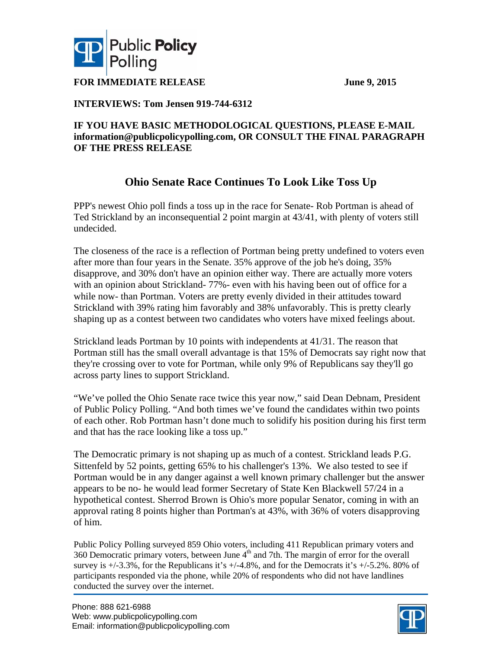

**FOR IMMEDIATE RELEASE** June 9, 2015

### **INTERVIEWS: Tom Jensen 919-744-6312**

### **IF YOU HAVE BASIC METHODOLOGICAL QUESTIONS, PLEASE E-MAIL information@publicpolicypolling.com, OR CONSULT THE FINAL PARAGRAPH OF THE PRESS RELEASE**

### **Ohio Senate Race Continues To Look Like Toss Up**

PPP's newest Ohio poll finds a toss up in the race for Senate- Rob Portman is ahead of Ted Strickland by an inconsequential 2 point margin at 43/41, with plenty of voters still undecided.

The closeness of the race is a reflection of Portman being pretty undefined to voters even after more than four years in the Senate. 35% approve of the job he's doing, 35% disapprove, and 30% don't have an opinion either way. There are actually more voters with an opinion about Strickland- 77%- even with his having been out of office for a while now- than Portman. Voters are pretty evenly divided in their attitudes toward Strickland with 39% rating him favorably and 38% unfavorably. This is pretty clearly shaping up as a contest between two candidates who voters have mixed feelings about.

Strickland leads Portman by 10 points with independents at 41/31. The reason that Portman still has the small overall advantage is that 15% of Democrats say right now that they're crossing over to vote for Portman, while only 9% of Republicans say they'll go across party lines to support Strickland.

"We've polled the Ohio Senate race twice this year now," said Dean Debnam, President of Public Policy Polling. "And both times we've found the candidates within two points of each other. Rob Portman hasn't done much to solidify his position during his first term and that has the race looking like a toss up."

The Democratic primary is not shaping up as much of a contest. Strickland leads P.G. Sittenfeld by 52 points, getting 65% to his challenger's 13%. We also tested to see if Portman would be in any danger against a well known primary challenger but the answer appears to be no- he would lead former Secretary of State Ken Blackwell 57/24 in a hypothetical contest. Sherrod Brown is Ohio's more popular Senator, coming in with an approval rating 8 points higher than Portman's at 43%, with 36% of voters disapproving of him.

Public Policy Polling surveyed 859 Ohio voters, including 411 Republican primary voters and 360 Democratic primary voters, between June  $4<sup>th</sup>$  and 7th. The margin of error for the overall survey is  $+/-3.3\%$ , for the Republicans it's  $+/-4.8\%$ , and for the Democrats it's  $+/-5.2\%$ . 80% of participants responded via the phone, while 20% of respondents who did not have landlines conducted the survey over the internet.

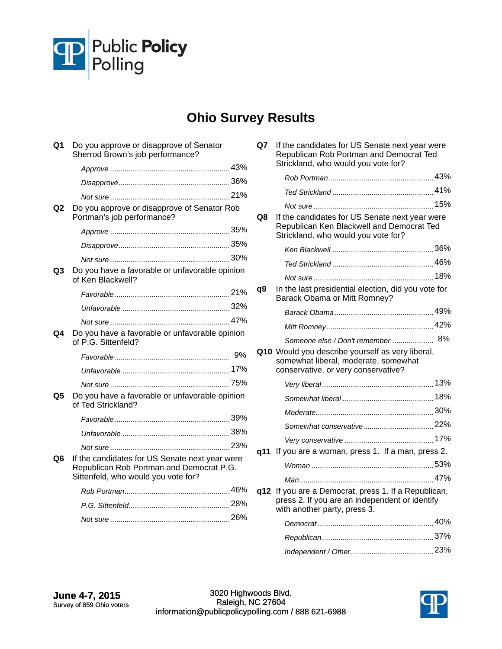

# **Ohio Survey Results**

| Q1 | Do you approve or disapprove of Senator<br>Sherrod Brown's job performance?                                                       |  |
|----|-----------------------------------------------------------------------------------------------------------------------------------|--|
|    |                                                                                                                                   |  |
|    |                                                                                                                                   |  |
|    |                                                                                                                                   |  |
| Q2 | Do you approve or disapprove of Senator Rob<br>Portman's job performance?                                                         |  |
|    |                                                                                                                                   |  |
|    |                                                                                                                                   |  |
|    |                                                                                                                                   |  |
| Q3 | Do you have a favorable or unfavorable opinion<br>of Ken Blackwell?                                                               |  |
|    |                                                                                                                                   |  |
|    |                                                                                                                                   |  |
|    |                                                                                                                                   |  |
| Q4 | Do you have a favorable or unfavorable opinion<br>of P.G. Sittenfeld?                                                             |  |
|    |                                                                                                                                   |  |
|    |                                                                                                                                   |  |
|    |                                                                                                                                   |  |
| Q5 | Do you have a favorable or unfavorable opinion<br>of Ted Strickland?                                                              |  |
|    |                                                                                                                                   |  |
|    |                                                                                                                                   |  |
|    |                                                                                                                                   |  |
| Q6 | If the candidates for US Senate next year were<br>Republican Rob Portman and Democrat P.G.<br>Sittenfeld, who would you vote for? |  |
|    |                                                                                                                                   |  |
|    |                                                                                                                                   |  |
|    |                                                                                                                                   |  |
|    |                                                                                                                                   |  |

| Q7  | If the candidates for US Senate next year were<br>Republican Rob Portman and Democrat Ted<br>Strickland, who would you vote for?   |    |
|-----|------------------------------------------------------------------------------------------------------------------------------------|----|
|     |                                                                                                                                    |    |
|     |                                                                                                                                    |    |
|     |                                                                                                                                    |    |
| Q8  | If the candidates for US Senate next year were<br>Republican Ken Blackwell and Democrat Ted<br>Strickland, who would you vote for? |    |
|     |                                                                                                                                    |    |
|     |                                                                                                                                    |    |
|     |                                                                                                                                    |    |
| q9  | In the last presidential election, did you vote for<br>Barack Obama or Mitt Romney?                                                |    |
|     |                                                                                                                                    |    |
|     |                                                                                                                                    |    |
|     | Someone else / Don't remember                                                                                                      | 8% |
|     | Q10 Would you describe yourself as very liberal,<br>somewhat liberal, moderate, somewhat<br>conservative, or very conservative?    |    |
|     |                                                                                                                                    |    |
|     |                                                                                                                                    |    |
|     |                                                                                                                                    |    |
|     |                                                                                                                                    |    |
|     |                                                                                                                                    |    |
| a11 | If you are a woman, press 1. If a man, press 2.                                                                                    |    |
|     |                                                                                                                                    |    |
|     |                                                                                                                                    |    |
| q12 | If you are a Democrat, press 1. If a Republican,<br>press 2. If you are an independent or identify<br>with another party, press 3. |    |
|     |                                                                                                                                    |    |
|     |                                                                                                                                    |    |

3020 Highwoods Blvd. Raleigh, NC 27604 information@publicpolicypolling.com / 888 621-6988



 <sup>23%</sup> *Independent / Other*........................................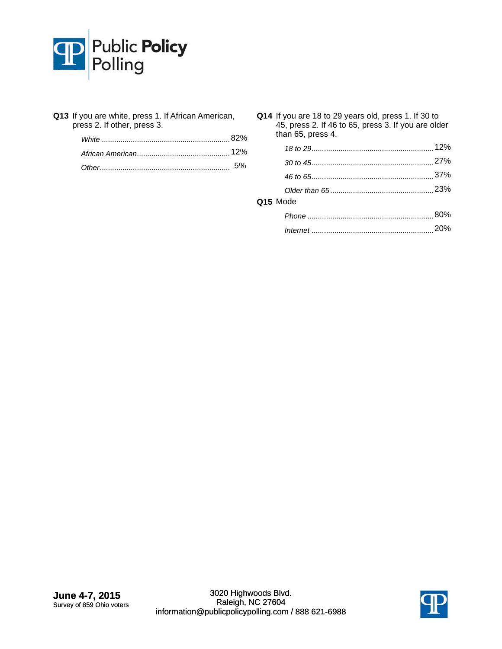

| Q13 If you are white, press 1. If African American, |
|-----------------------------------------------------|
| press 2. If other, press 3.                         |

| Q14 If you are 18 to 29 years old, press 1. If 30 to<br>45, press 2. If 46 to 65, press 3. If you are older<br>than 65, press 4. |     |  |  |  |  |
|----------------------------------------------------------------------------------------------------------------------------------|-----|--|--|--|--|
|                                                                                                                                  |     |  |  |  |  |
|                                                                                                                                  |     |  |  |  |  |
|                                                                                                                                  |     |  |  |  |  |
|                                                                                                                                  |     |  |  |  |  |
| Q15 Mode                                                                                                                         |     |  |  |  |  |
|                                                                                                                                  |     |  |  |  |  |
|                                                                                                                                  | 20% |  |  |  |  |
|                                                                                                                                  |     |  |  |  |  |

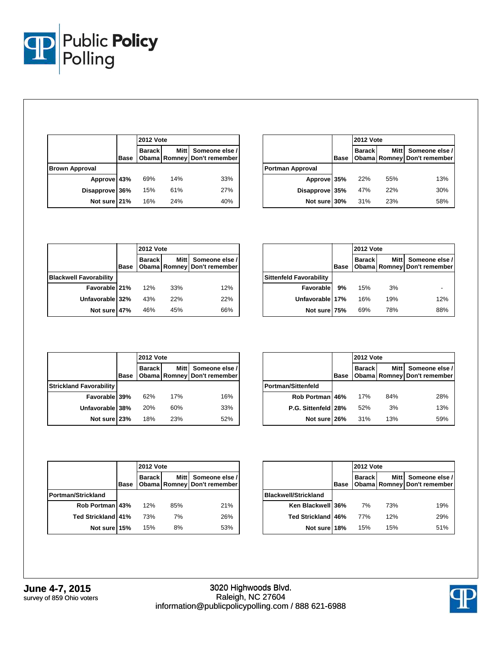

|                       |      | <b>2012 Vote</b> |     |                                                    |
|-----------------------|------|------------------|-----|----------------------------------------------------|
|                       | Base | <b>Barack</b>    |     | Mitt Someone else /<br>Obama Romney Don't remember |
| <b>Brown Approval</b> |      |                  |     |                                                    |
| Approve 43%           |      | 69%              | 14% | 33%                                                |
| Disapprove 36%        |      | 15%              | 61% | 27%                                                |
| Not sure 21%          |      | 16%              | 24% | 40%                                                |

|                         |             | <b>2012 Vote</b> |             |                                               |
|-------------------------|-------------|------------------|-------------|-----------------------------------------------|
|                         | <b>Base</b> | <b>Barack</b>    | <b>Mitt</b> | Someone else /<br>Obama Romney Don't remember |
| <b>Portman Approval</b> |             |                  |             |                                               |
| Approve 35%             |             | 22%              | 55%         | 13%                                           |
| Disapprove 35%          |             | 47%              | 22%         | 30%                                           |
| Not sure 30%            |             | 31%              | 23%         | 58%                                           |

|                               |             | <b>2012 Vote</b> |     |                                                    |
|-------------------------------|-------------|------------------|-----|----------------------------------------------------|
|                               | <b>Base</b> | <b>Barack</b>    |     | Mitt Someone else /<br>Obama Romney Don't remember |
| <b>Blackwell Favorability</b> |             |                  |     |                                                    |
| Favorable 21%                 |             | 12%              | 33% | 12%                                                |
| Unfavorable 32%               |             | 43%              | 22% | 22%                                                |
| Not sure 47%                  |             | 46%              | 45% | 66%                                                |

|                                |      | <b>2012 Vote</b> |        |                                                   |
|--------------------------------|------|------------------|--------|---------------------------------------------------|
|                                | Base | <b>Barack</b>    | Mitt I | Someone else /<br>Obama   Romney   Don't remember |
| <b>Sittenfeld Favorability</b> |      |                  |        |                                                   |
| Favorable                      | 9%   | 15%              | 3%     |                                                   |
| Unfavorable 17%                |      | 16%              | 19%    | 12%                                               |
| Not sure 75%                   |      | 69%              | 78%    | 88%                                               |

|                                |             | <b>2012 Vote</b> |             |                                               |
|--------------------------------|-------------|------------------|-------------|-----------------------------------------------|
|                                | <b>Base</b> | <b>Barack</b>    | <b>Mitt</b> | Someone else /<br>Obama Romney Don't remember |
| <b>Strickland Favorability</b> |             |                  |             |                                               |
| Favorable 39%                  |             | 62%              | 17%         | 16%                                           |
| Unfavorable 38%                |             | 20%              | 60%         | 33%                                           |
| Not sure 23%                   |             | 18%              | 23%         | 52%                                           |

|                     |             | <b>2012 Vote</b> |             |                                               |
|---------------------|-------------|------------------|-------------|-----------------------------------------------|
|                     | <b>Base</b> | <b>Barack</b>    | <b>Mitt</b> | Someone else /<br>Obama Romney Don't remember |
| Portman/Sittenfeld  |             |                  |             |                                               |
| Rob Portman 46%     |             | 17%              | 84%         | 28%                                           |
| P.G. Sittenfeld 28% |             | 52%              | 3%          | 13%                                           |
| Not sure 26%        |             | 31%              | 13%         | 59%                                           |

|                           |             |               | <b>2012 Vote</b> |                                               |  |
|---------------------------|-------------|---------------|------------------|-----------------------------------------------|--|
|                           | <b>Base</b> | <b>Barack</b> | <b>Mitt</b>      | Someone else /<br>Obama Romney Don't remember |  |
| <b>Portman/Strickland</b> |             |               |                  |                                               |  |
| Rob Portman 43%           |             | 12%           | 85%              | 21%                                           |  |
| Ted Strickland 41%        |             | 73%           | 7%               | 26%                                           |  |
| Not sure 15%              |             | 15%           | 8%               | 53%                                           |  |

|                             |      | <b>2012 Vote</b> |     |                                                    |
|-----------------------------|------|------------------|-----|----------------------------------------------------|
|                             | Base | <b>Barack</b>    |     | Mitt Someone else /<br>Obama Romney Don't remember |
| <b>Blackwell/Strickland</b> |      |                  |     |                                                    |
| Ken Blackwell 36%           |      | 7%               | 73% | 19%                                                |
| Ted Strickland 46%          |      | 77%              | 12% | 29%                                                |
| Not sure 18%                |      | 15%              | 15% | 51%                                                |

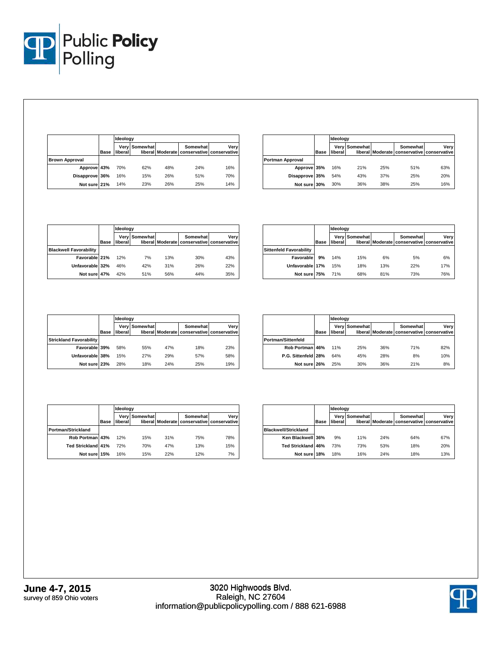

|                       |             | Ideology |               |     |          |                                                    |
|-----------------------|-------------|----------|---------------|-----|----------|----------------------------------------------------|
|                       | <b>Base</b> | liberal  | Very Somewhat |     | Somewhat | Verv<br>liberal Moderate conservative conservative |
| <b>Brown Approval</b> |             |          |               |     |          |                                                    |
| Approve 43%           |             | 70%      | 62%           | 48% | 24%      | 16%                                                |
| Disapprove 36%        |             | 16%      | 15%           | 26% | 51%      | 70%                                                |
| Not sure 21%          |             | 14%      | 23%           | 26% | 25%      | 14%                                                |

|                         |             | Ideology |               |     |                                                        |      |
|-------------------------|-------------|----------|---------------|-----|--------------------------------------------------------|------|
|                         | <b>Base</b> | liberal  | Very Somewhat |     | Somewhat<br>liberal Moderate conservative conservative | Very |
| <b>Portman Approval</b> |             |          |               |     |                                                        |      |
| Approve 35%             |             | 16%      | 21%           | 25% | 51%                                                    | 63%  |
| Disapprove 35%          |             | 54%      | 43%           | 37% | 25%                                                    | 20%  |
| Not sure 30%            |             | 30%      | 36%           | 38% | 25%                                                    | 16%  |

|                               |             |         | Ideology      |     |          |                                                    |  |  |
|-------------------------------|-------------|---------|---------------|-----|----------|----------------------------------------------------|--|--|
|                               | <b>Base</b> | liberal | Very Somewhat |     | Somewhat | Verv<br>liberal Moderate conservative conservative |  |  |
| <b>Blackwell Favorability</b> |             |         |               |     |          |                                                    |  |  |
| Favorable 21%                 |             | 12%     | 7%            | 13% | 30%      | 43%                                                |  |  |
| Unfavorable 32%               |             | 46%     | 42%           | 31% | 26%      | 22%                                                |  |  |
| Not sure 47%                  |             | 42%     | 51%           | 56% | 44%      | 35%                                                |  |  |

|                                |             |         | Ideology             |     |                                                        |      |  |
|--------------------------------|-------------|---------|----------------------|-----|--------------------------------------------------------|------|--|
|                                | <b>Base</b> | liberal | <b>Very Somewhat</b> |     | Somewhat<br>liberal Moderate conservative conservative | Verv |  |
| <b>Sittenfeld Favorability</b> |             |         |                      |     |                                                        |      |  |
| Favorable                      | 9%          | 14%     | 15%                  | 6%  | 5%                                                     | 6%   |  |
| Unfavorable 17%                |             | 15%     | 18%                  | 13% | 22%                                                    | 17%  |  |
| Not sure 75%                   |             | 71%     | 68%                  | 81% | 73%                                                    | 76%  |  |

|                                |             | Ideology |                      |     |                                                        |      |
|--------------------------------|-------------|----------|----------------------|-----|--------------------------------------------------------|------|
|                                | <b>Base</b> | liberal  | <b>Verv Somewhat</b> |     | Somewhat<br>liberal Moderate conservative conservative | Very |
| <b>Strickland Favorability</b> |             |          |                      |     |                                                        |      |
| Favorable 39%                  |             | 58%      | 55%                  | 47% | 18%                                                    | 23%  |
| Unfavorable 38%                |             | 15%      | 27%                  | 29% | 57%                                                    | 58%  |
| Not sure 23%                   |             | 28%      | 18%                  | 24% | 25%                                                    | 19%  |

|                           |             |                 | Ideology |     |                                                        |      |  |  |
|---------------------------|-------------|-----------------|----------|-----|--------------------------------------------------------|------|--|--|
|                           | <b>Base</b> | Verv<br>liberal | Somewhat |     | Somewhat<br>liberal Moderate conservative conservative | Verv |  |  |
| <b>Portman/Sittenfeld</b> |             |                 |          |     |                                                        |      |  |  |
| Rob Portman 46%           |             | 11%             | 25%      | 36% | 71%                                                    | 82%  |  |  |
| P.G. Sittenfeld 28%       |             | 64%             | 45%      | 28% | 8%                                                     | 10%  |  |  |
| Not sure 26%              |             | 25%             | 30%      | 36% | 21%                                                    | 8%   |  |  |

|                           |             |         | Ideoloav      |     |                                                        |      |  |
|---------------------------|-------------|---------|---------------|-----|--------------------------------------------------------|------|--|
|                           | <b>Base</b> | liberal | Very Somewhat |     | Somewhat<br>liberal Moderate conservative conservative | Verv |  |
| Portman/Strickland        |             |         |               |     |                                                        |      |  |
| Rob Portman 43%           |             | 12%     | 15%           | 31% | 75%                                                    | 78%  |  |
| <b>Ted Strickland 41%</b> |             | 72%     | 70%           | 47% | 13%                                                    | 15%  |  |
| Not sure 15%              |             | 16%     | 15%           | 22% | 12%                                                    | 7%   |  |

|                             |             | Ideology        |          |     |                                                        |      |  |
|-----------------------------|-------------|-----------------|----------|-----|--------------------------------------------------------|------|--|
|                             | <b>Base</b> | Very<br>liberal | Somewhat |     | Somewhat<br>liberal Moderate conservative conservative | Verv |  |
| <b>Blackwell/Strickland</b> |             |                 |          |     |                                                        |      |  |
| Ken Blackwell 36%           |             | 9%              | 11%      | 24% | 64%                                                    | 67%  |  |
| Ted Strickland 46%          |             | 73%             | 73%      | 53% | 18%                                                    | 20%  |  |
| Not sure 18%                |             | 18%             | 16%      | 24% | 18%                                                    | 13%  |  |

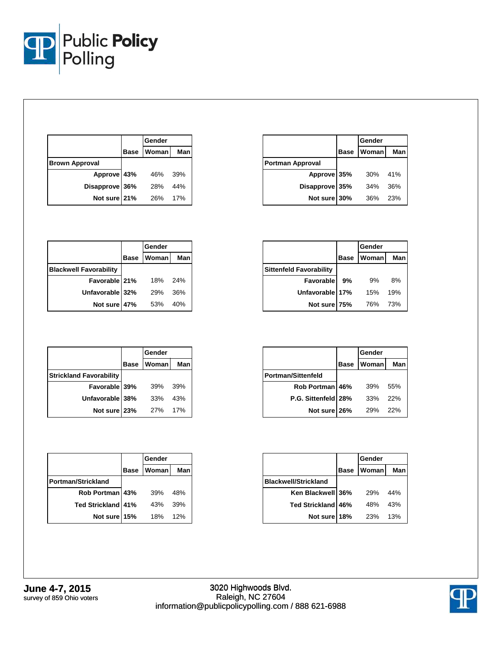

|                       |             | Gender |     |
|-----------------------|-------------|--------|-----|
|                       | <b>Base</b> | Woman  | Man |
| <b>Brown Approval</b> |             |        |     |
| Approve 43%           |             | 46%    | 39% |
| Disapprove 36%        |             | 28%    | 44% |
| Not sure 21%          |             | 26%    | 17% |

|                         |             | Gender |     |
|-------------------------|-------------|--------|-----|
|                         | <b>Base</b> | Woman  | Man |
| <b>Portman Approval</b> |             |        |     |
| Approve 35%             |             | 30%    | 41% |
| Disapprove 35%          |             | 34%    | 36% |
| Not sure 30%            |             | 36%    | 23% |

|                               |             | Gender |     |
|-------------------------------|-------------|--------|-----|
|                               | <b>Base</b> | Womanl | Man |
| <b>Blackwell Favorability</b> |             |        |     |
| Favorable 21%                 |             | 18%    | 24% |
| Unfavorable 32%               |             | 29%    | 36% |
| Not sure 47%                  |             | 53%    | 40% |

|                                |             | Gender       |     |
|--------------------------------|-------------|--------------|-----|
|                                | <b>Base</b> | <b>Woman</b> | Man |
| <b>Sittenfeld Favorability</b> |             |              |     |
| <b>Favorable</b>               | 9%          | 9%           | 8%  |
| Unfavorable 17%                |             | 15%          | 19% |
| Not sure 75%                   |             | 76%          | 73% |

|                                |             | Gender       |     |
|--------------------------------|-------------|--------------|-----|
|                                | <b>Base</b> | <b>Woman</b> | Man |
| <b>Strickland Favorability</b> |             |              |     |
| Favorable 39%                  |             | 39%          | 39% |
| Unfavorable 38%                |             | 33%          | 43% |
| Not sure 23%                   |             | 27%          | 17% |

|                           |             | Gender       |     |
|---------------------------|-------------|--------------|-----|
|                           | <b>Base</b> | <b>Woman</b> | Man |
| <b>Portman/Strickland</b> |             |              |     |
| Rob Portman 43%           |             | 39%          | 48% |
| <b>Ted Strickland 41%</b> |             | 43%          | 39% |
| Not sure 15%              |             | 18%          | 12% |

|                           |             | Gender |     |
|---------------------------|-------------|--------|-----|
|                           | <b>Base</b> | Womanl | Man |
| <b>Portman/Sittenfeld</b> |             |        |     |
| Rob Portman 46%           |             | 39%    | 55% |
| P.G. Sittenfeld 28%       |             | 33%    | 22% |
| Not sure 26%              |             | 29%    | 22% |

|                             |             | Gender     |     |
|-----------------------------|-------------|------------|-----|
|                             | <b>Base</b> | Woman      | Man |
| <b>Blackwell/Strickland</b> |             |            |     |
| Ken Blackwell 36%           |             | <b>29%</b> | 44% |
| Ted Strickland 46%          |             | 48%        | 43% |
| Not sure 18%                |             | <b>23%</b> | 13% |

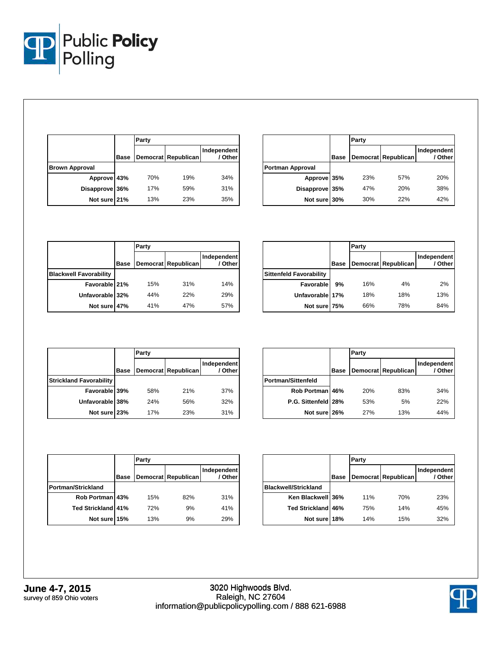

|                       |      | Party |                     |                        |
|-----------------------|------|-------|---------------------|------------------------|
|                       | Base |       | Democrat Republican | Independent<br>/ Other |
| <b>Brown Approval</b> |      |       |                     |                        |
| Approve 43%           |      | 70%   | 19%                 | 34%                    |
| Disapprove 36%        |      | 17%   | 59%                 | 31%                    |
| Not sure 21%          |      | 13%   | 23%                 | 35%                    |

|                         |             | Party |                     |                        |
|-------------------------|-------------|-------|---------------------|------------------------|
|                         | <b>Base</b> |       | Democrat Republican | Independent<br>/ Other |
| <b>Portman Approval</b> |             |       |                     |                        |
| Approve 35%             |             | 23%   | 57%                 | 20%                    |
| Disapprove 35%          |             | 47%   | 20%                 | 38%                    |
| Not sure 30%            |             | 30%   | 22%                 | 42%                    |

|                               |             | Party |                     |                        |
|-------------------------------|-------------|-------|---------------------|------------------------|
|                               | <b>Base</b> |       | Democrat Republican | Independent<br>/ Other |
| <b>Blackwell Favorability</b> |             |       |                     |                        |
| Favorable 21%                 |             | 15%   | 31%                 | 14%                    |
| Unfavorable 32%               |             | 44%   | 22%                 | 29%                    |
| Not sure 47%                  |             | 41%   | 47%                 | 57%                    |

|                                |             | Party |                     |                        |
|--------------------------------|-------------|-------|---------------------|------------------------|
|                                | <b>Base</b> |       | Democrat Republican | Independent<br>/ Other |
| <b>Sittenfeld Favorability</b> |             |       |                     |                        |
| Favorable                      | 9%          | 16%   | 4%                  | 2%                     |
| Unfavorable 17%                |             | 18%   | 18%                 | 13%                    |
| Not sure 75%                   |             | 66%   | 78%                 | 84%                    |

|                                |             | Party |                     |                        |
|--------------------------------|-------------|-------|---------------------|------------------------|
|                                | <b>Base</b> |       | Democrat Republican | Independent<br>/ Other |
| <b>Strickland Favorability</b> |             |       |                     |                        |
| Favorable 39%                  |             | 58%   | 21%                 | 37%                    |
| Unfavorable 38%                |             | 24%   | 56%                 | 32%                    |
| Not sure 23%                   |             | 17%   | 23%                 | 31%                    |

|                           |             | Party |                     |                        |
|---------------------------|-------------|-------|---------------------|------------------------|
|                           | <b>Base</b> |       | Democrat Republican | Independent<br>/ Other |
| <b>Portman/Sittenfeld</b> |             |       |                     |                        |
| Rob Portman 46%           |             | 20%   | 83%                 | 34%                    |
| P.G. Sittenfeld 28%       |             | 53%   | 5%                  | 22%                    |
| Not sure 26%              |             | 27%   | 13%                 | 44%                    |

|                    |             | Party |                     |                        |
|--------------------|-------------|-------|---------------------|------------------------|
|                    | <b>Base</b> |       | Democrat Republican | Independent<br>/ Other |
| Portman/Strickland |             |       |                     |                        |
| Rob Portman 43%    |             | 15%   | 82%                 | 31%                    |
| Ted Strickland 41% |             | 72%   | 9%                  | 41%                    |
| Not sure 15%       |             | 13%   | 9%                  | 29%                    |

|                             |             | Party |                     |                        |  |  |  |  |
|-----------------------------|-------------|-------|---------------------|------------------------|--|--|--|--|
|                             | <b>Base</b> |       | Democrat Republican | Independent<br>/ Other |  |  |  |  |
| <b>Blackwell/Strickland</b> |             |       |                     |                        |  |  |  |  |
| Ken Blackwell 36%           |             | 11%   | 70%                 | 23%                    |  |  |  |  |
| <b>Ted Strickland 46%</b>   |             | 75%   | 14%                 | 45%                    |  |  |  |  |
| Not sure 18%                |             | 14%   | 15%                 | 32%                    |  |  |  |  |

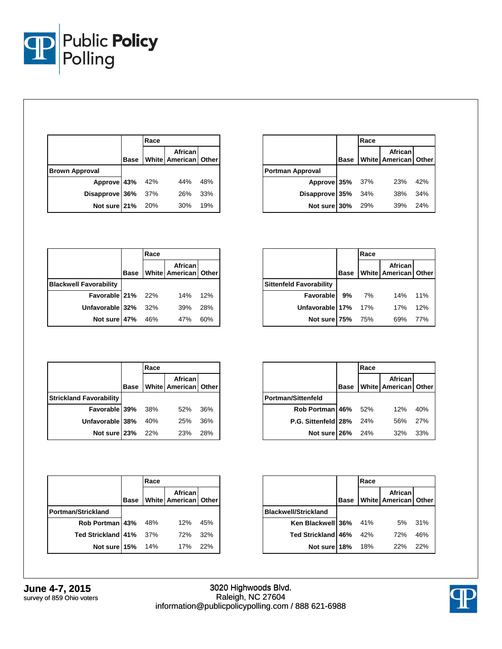

|                       |             | Race |                                 |     |  |
|-----------------------|-------------|------|---------------------------------|-----|--|
|                       | <b>Base</b> |      | African<br>White American Other |     |  |
| <b>Brown Approval</b> |             |      |                                 |     |  |
| Approve 43% 42%       |             |      | 44%                             | 48% |  |
| Disapprove 36%        |             | 37%  | 26%                             | 33% |  |
| Not sure 21%          |             | 20%  | 30%                             | 19% |  |

|                         |             | Race |                                 |     |  |
|-------------------------|-------------|------|---------------------------------|-----|--|
|                         | <b>Base</b> |      | African<br>White American Other |     |  |
| <b>Portman Approval</b> |             |      |                                 |     |  |
| Approve 35% 37%         |             |      | 23%                             | 42% |  |
| Disapprove 35%          |             | 34%  | 38%                             | 34% |  |
| Not sure 30%            |             | 29%  | 39%                             | 24% |  |

|                               |             | Race |                                   |     |  |
|-------------------------------|-------------|------|-----------------------------------|-----|--|
|                               | <b>Base</b> |      | African<br>White American   Other |     |  |
| <b>Blackwell Favorability</b> |             |      |                                   |     |  |
| Favorable 21% 22%             |             |      | 14%                               | 12% |  |
| Unfavorable 32%               |             | 32%  | 39%                               | 28% |  |
| Not sure 47%                  |             | 46%  | 47%                               | 60% |  |

|                                |             | Race |                                 |     |  |
|--------------------------------|-------------|------|---------------------------------|-----|--|
|                                | <b>Base</b> |      | African<br>White American Other |     |  |
| <b>Sittenfeld Favorability</b> |             |      |                                 |     |  |
| Favorable                      | 9%          | 7%   | 14% 11%                         |     |  |
| Unfavorable 17%                |             | 17%  | 17%                             | 12% |  |
| Not sure 75%                   |             | 75%  | 69%                             | 77% |  |

|                                |      | Race |                                 |     |  |
|--------------------------------|------|------|---------------------------------|-----|--|
|                                | Base |      | African<br>White American Other |     |  |
| <b>Strickland Favorability</b> |      |      |                                 |     |  |
| Favorable 39%                  |      | 38%  | 52%                             | 36% |  |
| Unfavorable 38%                |      | 40%  | 25%                             | 36% |  |
| Not sure 23%                   |      | 22%  | 23%                             | 28% |  |

|                         |             | Race |                                   |     |  |  |
|-------------------------|-------------|------|-----------------------------------|-----|--|--|
|                         | <b>Base</b> |      | African<br>White American   Other |     |  |  |
| Portman/Sittenfeld      |             |      |                                   |     |  |  |
| Rob Portman 46% 52%     |             |      | 12%                               | 40% |  |  |
| P.G. Sittenfeld 28% 24% |             |      | 56%                               | 27% |  |  |
| <b>Not sure 26%</b> 24% |             |      | 32%                               | 33% |  |  |

|                           |             | Race  |                                     |     |  |
|---------------------------|-------------|-------|-------------------------------------|-----|--|
|                           | <b>Base</b> |       | African I<br>White American   Other |     |  |
| <b>Portman/Strickland</b> |             |       |                                     |     |  |
| Rob Portman 43% 48%       |             |       | 12% 45%                             |     |  |
| <b>Ted Strickland 41%</b> |             | - 37% | 72%                                 | 32% |  |
| <b>Not sure 15%</b> 14%   |             |       | 17% 22%                             |     |  |

|                             |             | Race |                                 |     |  |
|-----------------------------|-------------|------|---------------------------------|-----|--|
|                             | <b>Base</b> |      | African<br>White American Other |     |  |
| <b>Blackwell/Strickland</b> |             |      |                                 |     |  |
| Ken Blackwell 36% 41%       |             |      | 5%                              | 31% |  |
| Ted Strickland 46%          |             | 42%  | 72%                             | 46% |  |
| Not sure 18%                |             | 18%  | 22%                             | 22% |  |

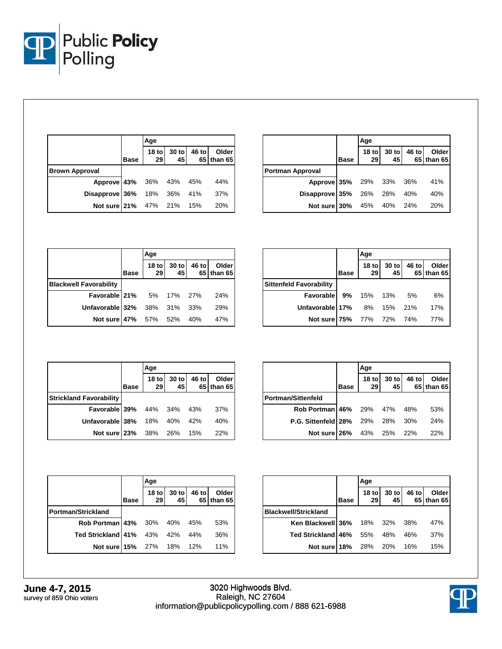

|                            |             | Age           |                            |       |                     |  |  |
|----------------------------|-------------|---------------|----------------------------|-------|---------------------|--|--|
|                            | <b>Base</b> | $18$ to<br>29 | $\frac{30 \text{ to}}{45}$ | 46 to | Older<br>65 than 65 |  |  |
| <b>Brown Approval</b>      |             |               |                            |       |                     |  |  |
| Approve 43% 36% 43% 45%    |             |               |                            |       | 44%                 |  |  |
| Disapprove 36% 18% 36% 41% |             |               |                            |       | 37%                 |  |  |
| Not sure 21%               |             | 47% 21% 15%   |                            |       | 20%                 |  |  |

|                            |             | Age           |               |       |                            |  |  |
|----------------------------|-------------|---------------|---------------|-------|----------------------------|--|--|
|                            | <b>Base</b> | $18$ to<br>29 | $30$ to<br>45 | 46 to | <b>Older</b><br>65 than 65 |  |  |
| <b>Portman Approval</b>    |             |               |               |       |                            |  |  |
| Approve 35% 29% 33% 36%    |             |               |               |       | 41%                        |  |  |
| Disapprove 35% 26% 28% 40% |             |               |               |       | 40%                        |  |  |
| Not sure 30% 45%           |             |               | 40%           | 24%   | 20%                        |  |  |

|                                 |             | Age           |               |       |                     |  |
|---------------------------------|-------------|---------------|---------------|-------|---------------------|--|
|                                 | <b>Base</b> | $18$ to<br>29 | $30$ to<br>45 | 46 to | Older<br>65 than 65 |  |
| <b>Blackwell Favorability</b>   |             |               |               |       |                     |  |
| <b>Favorable 21%</b> 5% 17% 27% |             |               |               |       | 24%                 |  |
| Unfavorable 32%                 |             |               | 38% 31% 33%   |       | 29%                 |  |
| Not sure 47%                    |             | 57% 52%       |               | 40%   | 47%                 |  |

|                                |             | Age                    |             |       |                     |
|--------------------------------|-------------|------------------------|-------------|-------|---------------------|
|                                | <b>Base</b> | 18 <sub>to</sub><br>29 | 30 to<br>45 | 46 to | Older<br>65 than 65 |
| <b>Sittenfeld Favorability</b> |             |                        |             |       |                     |
| Favorable 9%                   |             | 15% 13%                |             | 5%    | 6%                  |
| Unfavorable 17% 8% 15% 21%     |             |                        |             |       | 17%                 |
| Not sure 75%                   |             | 77% 72% 74%            |             |       | 77%                 |

|                                |             | Age         |             |       |                            |
|--------------------------------|-------------|-------------|-------------|-------|----------------------------|
|                                | <b>Base</b> | 18 to<br>29 | 30 to<br>45 | 46 to | <b>Older</b><br>65 than 65 |
| <b>Strickland Favorability</b> |             |             |             |       |                            |
| Favorable 39%                  |             | 44% 34%     |             | 43%   | 37%                        |
| Unfavorable 38%                |             | 18%         | 40%         | 42%   | 40%                        |
| Not sure 23%                   |             | 38%         | 26%         | 15%   | 22%                        |

|                                        |             | Age           |                            |       |                     |
|----------------------------------------|-------------|---------------|----------------------------|-------|---------------------|
|                                        | <b>Base</b> | $18$ to<br>29 | $\frac{30 \text{ to}}{45}$ | 46 to | Older<br>65 than 65 |
| <b>Portman/Sittenfeld</b>              |             |               |                            |       |                     |
| <b>Rob Portman 46%</b> 29% 47% 48%     |             |               |                            |       | 53%                 |
| <b>P.G. Sittenfeld 28%</b> 29% 28% 30% |             |               |                            |       | 24%                 |
| Not sure 26% 43% 25% 22%               |             |               |                            |       | 22%                 |

|                                    |      | Age           |               |         |                     |
|------------------------------------|------|---------------|---------------|---------|---------------------|
|                                    | Base | $18$ to<br>29 | $30$ to<br>45 | 46 to l | Older<br>65 than 65 |
| Portman/Strickland                 |      |               |               |         |                     |
| <b>Rob Portman 43%</b> 30% 40% 45% |      |               |               |         | 53%                 |
| Ted Strickland 41% 43% 42% 44%     |      |               |               |         | 36%                 |
| Not sure 15% 27% 18% 12%           |      |               |               |         | 11%                 |

|                                  |      | Age           |             |       |                     |
|----------------------------------|------|---------------|-------------|-------|---------------------|
|                                  | Base | $18$ to<br>29 | 30 to<br>45 | 46 to | Older<br>65 than 65 |
| <b>Blackwell/Strickland</b>      |      |               |             |       |                     |
| <b>Ken Blackwell 36%</b> 18% 32% |      |               |             | 38%   | 47%                 |
| <b>Ted Strickland 46%</b>        |      | 55%           | 48%         | 46%   | 37%                 |
| Not sure 18%                     |      | 28%           | 20%         | 16%   | 15%                 |

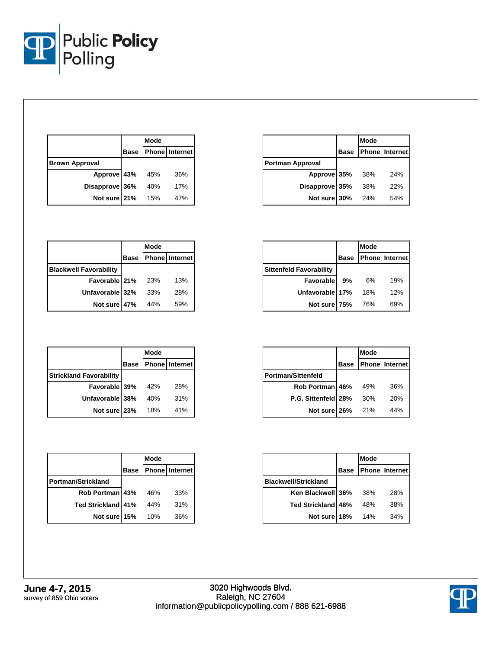

|                       | Mode |                            |
|-----------------------|------|----------------------------|
|                       |      | <b>Base Phone Internet</b> |
| <b>Brown Approval</b> |      |                            |
| Approve 43% 45%       |      | 36%                        |
| Disapprove 36%        | 40%  | 17%                        |
| Not sure 21%          | 15%  | 47%                        |

|                         |      | <b>Mode</b> |                       |
|-------------------------|------|-------------|-----------------------|
|                         | Base |             | <b>Phone</b> Internet |
| <b>Portman Approval</b> |      |             |                       |
| Approve 35%             |      | 38%         | 24%                   |
| Disapprove 35%          |      | 38%         | 22%                   |
| Not sure 30%            |      | 24%         | 54%                   |

|                               |             | Mode |                       |
|-------------------------------|-------------|------|-----------------------|
|                               | <b>Base</b> |      | <b>Phone</b> Internet |
| <b>Blackwell Favorability</b> |             |      |                       |
| Favorable 21%                 |             | 23%  | 13%                   |
| Unfavorable 32%               |             | 33%  | 28%                   |
| Not sure 47%                  |             | 44%  | 59%                   |

|                                |             | Mode |                       |
|--------------------------------|-------------|------|-----------------------|
|                                | <b>Base</b> |      | <b>Phone</b> Internet |
| <b>Sittenfeld Favorability</b> |             |      |                       |
| Favorable                      | 9%          | 6%   | 19%                   |
| Unfavorable 17%                |             | 18%  | 12%                   |
| Not sure 75%                   |             | 76%  | 69%                   |

|                                | Mode |                            |
|--------------------------------|------|----------------------------|
|                                |      | <b>Base Phone Internet</b> |
| <b>Strickland Favorability</b> |      |                            |
| Favorable 39%                  | 42%  | 28%                        |
| Unfavorable 38%                | 40%  | 31%                        |
| Not sure 23%                   | 18%  | 41%                        |

|                           |             | Mode |                       |
|---------------------------|-------------|------|-----------------------|
|                           | <b>Base</b> |      | <b>Phone</b> Internet |
| <b>Portman/Strickland</b> |             |      |                       |
| Rob Portman 43%           |             | 46%  | 33%                   |
| Ted Strickland 41%        |             | 44%  | 31%                   |
| Not sure 15%              |             | 10%  | 36%                   |

|                       |             | Mode |                       |
|-----------------------|-------------|------|-----------------------|
|                       | <b>Base</b> |      | <b>Phone</b> Internet |
| Portman/Sittenfeld    |             |      |                       |
| Rob Portman 46%       |             | 49%  | 36%                   |
| P.G. Sittenfeld   28% |             | 30%  | 20%                   |
| Not sure 26%          |             | 21%  | 44%                   |

|                             |             | Mode |                       |
|-----------------------------|-------------|------|-----------------------|
|                             | <b>Base</b> |      | <b>Phone</b> Internet |
| <b>Blackwell/Strickland</b> |             |      |                       |
| Ken Blackwell 36%           |             | 38%  | 28%                   |
| <b>Ted Strickland 46%</b>   |             | 48%  | 38%                   |
| Not sure 18%                |             | 14%  | 34%                   |

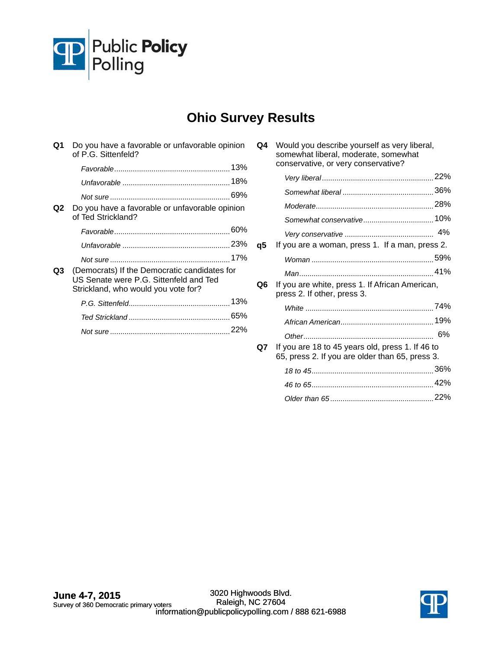

# **Ohio Survey Results**

| Ω1 | Do you have a favorable or unfavorable opinion<br>of P.G. Sittenfeld?                                                         |     |
|----|-------------------------------------------------------------------------------------------------------------------------------|-----|
|    |                                                                                                                               | 13% |
|    |                                                                                                                               |     |
|    |                                                                                                                               | 69% |
| Q2 | Do you have a favorable or unfavorable opinion<br>of Ted Strickland?                                                          |     |
|    |                                                                                                                               |     |
|    |                                                                                                                               |     |
|    |                                                                                                                               |     |
| Q3 | (Democrats) If the Democratic candidates for<br>US Senate were P.G. Sittenfeld and Ted<br>Strickland, who would you vote for? |     |
|    |                                                                                                                               |     |
|    |                                                                                                                               | 65% |
|    |                                                                                                                               | 22% |
|    |                                                                                                                               |     |

| Q4 | Would you describe yourself as very liberal,<br>somewhat liberal, moderate, somewhat<br>conservative, or very conservative? |    |
|----|-----------------------------------------------------------------------------------------------------------------------------|----|
|    |                                                                                                                             |    |
|    |                                                                                                                             |    |
|    |                                                                                                                             |    |
|    |                                                                                                                             |    |
|    |                                                                                                                             |    |
| q5 | If you are a woman, press 1. If a man, press 2.                                                                             |    |
|    |                                                                                                                             |    |
|    |                                                                                                                             |    |
| Q6 | If you are white, press 1. If African American,<br>press 2. If other, press 3.                                              |    |
|    |                                                                                                                             |    |
|    |                                                                                                                             |    |
|    |                                                                                                                             | 6% |
| Q7 | If you are 18 to 45 years old, press 1. If 46 to<br>65, press 2. If you are older than 65, press 3.                         |    |
|    |                                                                                                                             |    |
|    |                                                                                                                             |    |
|    |                                                                                                                             |    |
|    |                                                                                                                             |    |

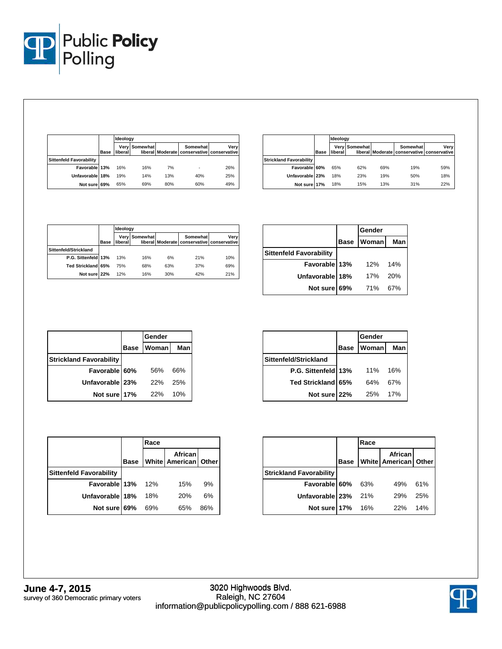

|                                |             |          | Ideoloav      |     |                                                        |      |  |  |
|--------------------------------|-------------|----------|---------------|-----|--------------------------------------------------------|------|--|--|
|                                | <b>Base</b> | liberall | Very Somewhat |     | Somewhat<br>liberal Moderate conservative conservative | Verv |  |  |
| <b>Sittenfeld Favorability</b> |             |          |               |     |                                                        |      |  |  |
| Favorable 13%                  |             | 16%      | 16%           | 7%  |                                                        | 26%  |  |  |
| Unfavorable 18%                |             | 19%      | 14%           | 13% | 40%                                                    | 25%  |  |  |
| Not sure 69%                   |             | 65%      | 69%           | 80% | 60%                                                    | 49%  |  |  |

|                                |      | Ideology |                      |     |                                                        |      |
|--------------------------------|------|----------|----------------------|-----|--------------------------------------------------------|------|
|                                | Base | liberal  | <b>Verv Somewhat</b> |     | Somewhat<br>liberal Moderate conservative conservative | Verv |
| <b>Strickland Favorability</b> |      |          |                      |     |                                                        |      |
| Favorable 60%                  |      | 65%      | 62%                  | 69% | 19%                                                    | 59%  |
| Unfavorable 23%                |      | 18%      | 23%                  | 19% | 50%                                                    | 18%  |
| Not sure 17%                   |      | 18%      | 15%                  | 13% | 31%                                                    | 22%  |

|                       |             |          | Ideology             |     |                                                        |      |  |
|-----------------------|-------------|----------|----------------------|-----|--------------------------------------------------------|------|--|
|                       | <b>Base</b> | liberall | <b>Verv Somewhat</b> |     | Somewhat<br>liberal Moderate conservative conservative | Verv |  |
| Sittenfeld/Strickland |             |          |                      |     |                                                        |      |  |
| P.G. Sittenfeld 13%   |             | 13%      | 16%                  | 6%  | 21%                                                    | 10%  |  |
| Ted Strickland 65%    |             | 75%      | 68%                  | 63% | 37%                                                    | 69%  |  |
| Not sure 22%          |             | 12%      | 16%                  | 30% | 42%                                                    | 21%  |  |

|                                |             | Gender |            |
|--------------------------------|-------------|--------|------------|
|                                | <b>Base</b> | Woman  | <b>Man</b> |
| <b>Sittenfeld Favorability</b> |             |        |            |
| Favorable 13%                  |             | 12%    | 14%        |
| Unfavorable 18%                |             | 17%    | 20%        |
| Not sure 69%                   |             | 71%    | 67%        |

|                                |             | Gender       |     |
|--------------------------------|-------------|--------------|-----|
|                                | <b>Base</b> | <b>Woman</b> | Man |
| <b>Strickland Favorability</b> |             |              |     |
| Favorable 60%                  |             | 56%          | 66% |
| Unfavorable 23%                |             | 22%          | 25% |
| Not sure 17%                   |             | 22%          | 10% |

|                       | <b>Base</b> | Woman | <b>Man</b> |
|-----------------------|-------------|-------|------------|
| Sittenfeld/Strickland |             |       |            |
| P.G. Sittenfeld 13%   |             | 11%   | 16%        |
| Ted Strickland 65%    |             | 64%   | 67%        |
| Not sure 22%          |             | 25%   | 17%        |
|                       |             |       |            |

**Gender**

|                                |             | Race |                                 |     |
|--------------------------------|-------------|------|---------------------------------|-----|
|                                | <b>Base</b> |      | African<br>White American Other |     |
| <b>Sittenfeld Favorability</b> |             |      |                                 |     |
| Favorable 13%                  |             | 12%  | 15%                             | 9%  |
| Unfavorable 18%                |             | 18%  | 20%                             | 6%  |
| Not sure 69%                   |             | 69%  | 65%                             | 86% |

|                                |             | Race |                                 |     |
|--------------------------------|-------------|------|---------------------------------|-----|
|                                | <b>Base</b> |      | African<br>White American Other |     |
| <b>Strickland Favorability</b> |             |      |                                 |     |
| Favorable 60%                  |             | 63%  | 49%                             | 61% |
| Unfavorable 23%                |             | 21%  | 29%                             | 25% |
| Not sure 17%                   |             | 16%  | 22%                             | 14% |

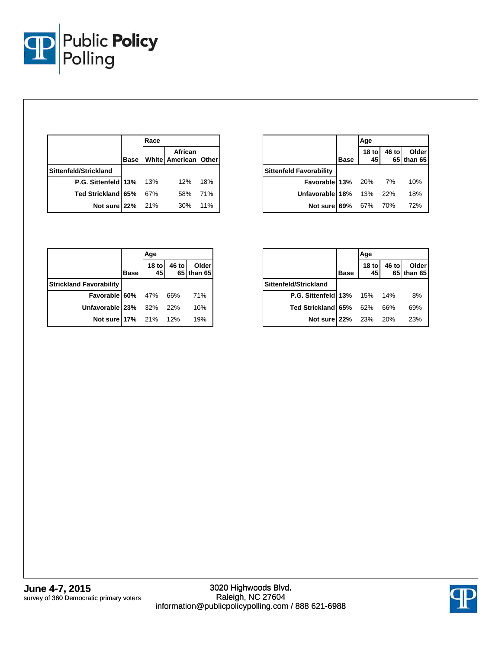

|                                |             | Race |                                     |     |
|--------------------------------|-------------|------|-------------------------------------|-----|
|                                | <b>Base</b> |      | African<br>White   American   Other |     |
| Sittenfeld/Strickland          |             |      |                                     |     |
| <b>P.G. Sittenfeld 13%</b> 13% |             |      | 12%                                 | 18% |
| Ted Strickland 65%             |             | 67%  | 58%                                 | 71% |
| Not sure 22%                   |             | 21%  | 30%                                 | 11% |

|                                |             | Age           |       |                      |
|--------------------------------|-------------|---------------|-------|----------------------|
|                                | <b>Base</b> | $18$ to<br>45 | 46 to | Olderl<br>65 than 65 |
| <b>Sittenfeld Favorability</b> |             |               |       |                      |
| Favorable 13% 20% 7%           |             |               |       | 10%                  |
| Unfavorable 18% 13% 22%        |             |               |       | 18%                  |
| Not sure 69% 67% 70%           |             |               |       | 72%                  |

|                                |             | Age           |       |                     |
|--------------------------------|-------------|---------------|-------|---------------------|
|                                | <b>Base</b> | $18$ to<br>45 | 46 to | Older<br>65 than 65 |
| <b>Strickland Favorability</b> |             |               |       |                     |
| <b>Favorable 60%</b> 47% 66%   |             |               |       | 71%                 |
| Unfavorable 23% 32% 22%        |             |               |       | 10%                 |
| Not sure 17% 21% 12%           |             |               |       | 19%                 |

|                                    |             | Age                    |       |                     |  |
|------------------------------------|-------------|------------------------|-------|---------------------|--|
|                                    | <b>Base</b> | 18 <sub>to</sub><br>45 | 46 to | Older<br>65 than 65 |  |
| Sittenfeld/Strickland              |             |                        |       |                     |  |
| <b>P.G. Sittenfeld 13%</b> 15% 14% |             |                        |       | 8%                  |  |
| Ted Strickland 65%                 |             | 62%                    | 66%   | 69%                 |  |
| Not sure 22%                       |             | 23% 20%                |       | 23%                 |  |

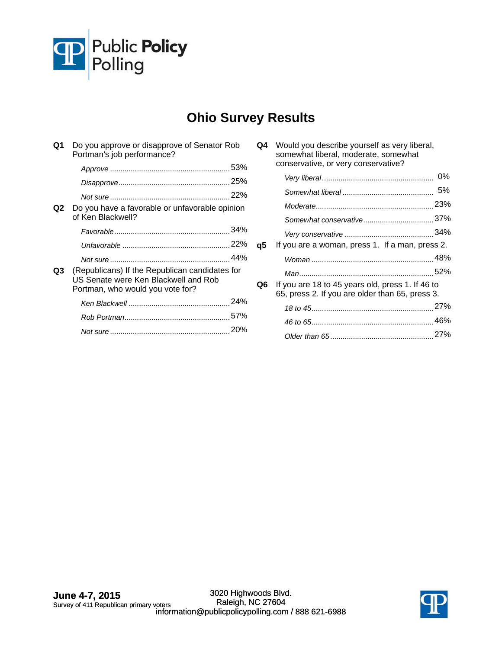

# **Ohio Survey Results**

| Q1 | Do you approve or disapprove of Senator Rob<br>Portman's job performance?                                                  |  |
|----|----------------------------------------------------------------------------------------------------------------------------|--|
|    |                                                                                                                            |  |
|    |                                                                                                                            |  |
|    |                                                                                                                            |  |
| Q2 | Do you have a favorable or unfavorable opinion<br>of Ken Blackwell?                                                        |  |
|    |                                                                                                                            |  |
|    |                                                                                                                            |  |
|    |                                                                                                                            |  |
| Q3 | (Republicans) If the Republican candidates for<br>US Senate were Ken Blackwell and Rob<br>Portman, who would you vote for? |  |
|    |                                                                                                                            |  |
|    |                                                                                                                            |  |
|    |                                                                                                                            |  |

|    | somewhat liberal, moderate, somewhat<br>conservative, or very conservative?                         |    |
|----|-----------------------------------------------------------------------------------------------------|----|
|    |                                                                                                     | 0% |
|    |                                                                                                     | 5% |
|    |                                                                                                     |    |
|    |                                                                                                     |    |
|    |                                                                                                     |    |
| q5 | If you are a woman, press 1. If a man, press 2.                                                     |    |
|    |                                                                                                     |    |
|    |                                                                                                     |    |
| Q6 | If you are 18 to 45 years old, press 1. If 46 to<br>65, press 2. If you are older than 65, press 3. |    |
|    |                                                                                                     |    |
|    |                                                                                                     |    |
|    |                                                                                                     |    |
|    |                                                                                                     |    |

**Q4** Would you describe yourself as very liberal,

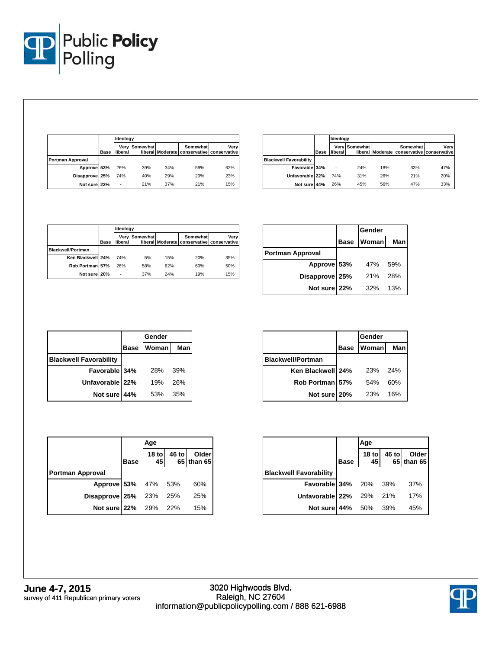

|                         |      | Ideology |               |     |          |                                                    |
|-------------------------|------|----------|---------------|-----|----------|----------------------------------------------------|
|                         | Base | liberal  | Very Somewhat |     | Somewhat | Verv<br>liberal Moderate conservative conservative |
| <b>Portman Approval</b> |      |          |               |     |          |                                                    |
| Approve 53%             |      | 26%      | 39%           | 34% | 59%      | 62%                                                |
| Disapprove 25%          |      | 74%      | 40%           | 29% | 20%      | 23%                                                |
| Not sure 22%            |      | ٠        | 21%           | 37% | 21%      | 15%                                                |

|                               |             | Ideology |               |     |                                                        |      |
|-------------------------------|-------------|----------|---------------|-----|--------------------------------------------------------|------|
|                               | <b>Base</b> | liberal  | Very Somewhat |     | Somewhat<br>liberal Moderate conservative conservative | Verv |
| <b>Blackwell Favorability</b> |             |          |               |     |                                                        |      |
| Favorable 34%                 |             | ٠        | 24%           | 18% | 33%                                                    | 47%  |
| Unfavorable 22%               |             | 74%      | 31%           | 26% | 21%                                                    | 20%  |
| Not sure 44%                  |             | 26%      | 45%           | 56% | 47%                                                    | 33%  |

|                          |             | Ideology |                      |     |                                                        |      |
|--------------------------|-------------|----------|----------------------|-----|--------------------------------------------------------|------|
|                          | <b>Base</b> | liberall | <b>Verv Somewhat</b> |     | Somewhat<br>liberal Moderate conservative conservative | Verv |
| <b>Blackwell/Portman</b> |             |          |                      |     |                                                        |      |
| Ken Blackwell 24%        |             | 74%      | 5%                   | 15% | 20%                                                    | 35%  |
| Rob Portman 57%          |             | 26%      | 58%                  | 62% | 60%                                                    | 50%  |
| Not sure 20%             |             | ٠        | 37%                  | 24% | 19%                                                    | 15%  |

|                  |      | Gender |      |
|------------------|------|--------|------|
|                  | Base | Woman  | Manl |
| Portman Approval |      |        |      |
| Approve 53%      |      | 47%    | 59%  |
| Disapprove 25%   |      | 21%    | 28%  |
| Not sure 22%     |      | 32%    | 13%  |

|                               |             | Gender |     |
|-------------------------------|-------------|--------|-----|
|                               | <b>Base</b> | Woman  | Man |
| <b>Blackwell Favorability</b> |             |        |     |
| Favorable 34%                 |             | 28%    | 39% |
| Unfavorable 22%               |             | 19%    | 26% |
| Not sure 44%                  |             | 53%    | 35% |

|                          |             | <b>Gender</b> |     |
|--------------------------|-------------|---------------|-----|
|                          | <b>Base</b> | Woman         | Man |
| <b>Blackwell/Portman</b> |             |               |     |
| Ken Blackwell 24%        |             | 23%           | 24% |
| Rob Portman 57%          |             | 54%           | 60% |
| Not sure 20%             |             | 23%           | 16% |

|                               | <b>Base</b> | 18 to $45$ | 46 to | Older<br>65 than 65 |
|-------------------------------|-------------|------------|-------|---------------------|
| <b>Portman Approval</b>       |             |            |       |                     |
| Approve 53% 47% 53%           |             |            |       | 60%                 |
| <b>Disapprove 25%</b> 23% 25% |             |            |       | 25%                 |
| Not sure 22% 29% 22%          |             |            |       | 15%                 |

|                               |             | Age                    |       |                     |
|-------------------------------|-------------|------------------------|-------|---------------------|
|                               | <b>Base</b> | 18 <sub>to</sub><br>45 | 46 to | Older<br>65 than 65 |
| <b>Blackwell Favorability</b> |             |                        |       |                     |
| <b>Favorable 34%</b> 20% 39%  |             |                        |       | 37%                 |
| Unfavorable 22% 29% 21%       |             |                        |       | 17%                 |
| Not sure 44% 50% 39%          |             |                        |       | 45%                 |